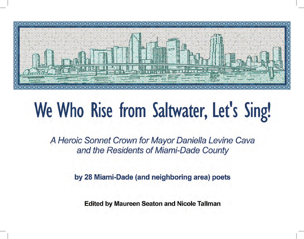

# We Who Rise from Saltwater, Let's Sing!

A Heroic Sonnet Crown for Mayor Daniella Levine Cava and the Residents of Miami-Dade County

by 28 Miami-Dade (and neighboring area) poets

**Edited by Maureen Seaton and Nicole Tallman**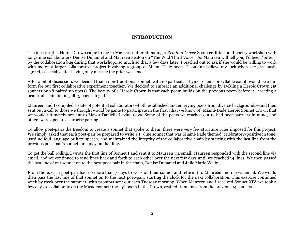## **INTRODUCTION**

The idea for this Heroic Crown came to me in May 2021 after attending a *Reading Queer* Zoom craft talk and poetry workshop with long-time collaborators Denise Duhamel and Maureen Seaton on "The Wild Third Voice." As Maureen will tell you, I'd been "bitten" by the collaboration bug during that workshop…so much so that a few days later, I reached out to ask if she would be willing to work with me on a larger collaborative project involving a group of Miami-Dade poets. I couldn't believe my luck when she graciously agreed, especially after having only met me the prior weekend.

After a bit of discussion, we decided that a non-traditional sonnet, with no particular rhyme scheme or syllable count, would be a fun form for our first collaborative experiment together. We decided to embrace an additional challenge by tackling a Heroic Crown (15 sonnets by 28 paired-up poets). The beauty of a Heroic Crown is that each poem builds on the previous poem before it—creating a beautiful chain linking all 15 poems together.

Maureen and I compiled a slate of potential collaborators—both established and emerging poets from diverse backgrounds—and then sent out a call to those we thought would be game to participate in the first (that we know of) Miami-Dade Heroic Sonnet Crown that we would ultimately present to Mayor Daniella Levine Cava. Some of the poets we reached out to had poet-partners in mind, and others were open to a surprise pairing.

To allow poet-pairs the freedom to create a sonnet that spoke to them, there were very few structure rules imposed for this project. We simply asked that each poet-pair be prepared to write a 14-line sonnet that was Miami-Dade themed, celebratory/positive in tone, used no foul language or hate speech, and maintained the integrity of the collaborative chain by starting with the last line from the previous poet-pair's sonnet, or a play on that line.

To get the ball rolling, I wrote the first line of Sonnet I and sent it to Maureen via email. Maureen responded with the second line via email, and we continued to send lines back and forth to each other over the next few days until we reached 14 lines. We then passed the last line of our sonnet on to the next poet-pair in the chain, Denise Duhamel and Julie Marie Wade.

From there, each poet-pair had no more than 7 days to work on their sonnet and return it to Maureen and me via email. We would then pass the last line of that sonnet on to the next poet-pair, starting the clock for the next collaboration. This exercise continued week by week over the summer, with prompts sent out each Tuesday morning. When Maureen and I received Sonnet XIV, we took a few days to collaborate on the Mastersonnet: the 15th poem in the Crown, crafted from lines from the previous 14 sonnets.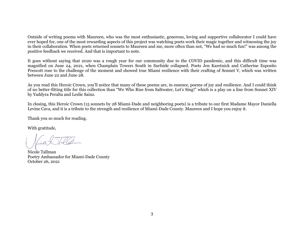Outside of writing poems with Maureen, who was the most enthusiastic, generous, loving and supportive collaborator I could have ever hoped for, one of the most rewarding aspects of this project was watching poets work their magic together and witnessing the joy in their collaboration. When poets returned sonnets to Maureen and me, more often than not, "We had so much fun!" was among the positive feedback we received. And that is important to note.

It goes without saying that 2020 was a rough year for our community due to the COVID pandemic, and this difficult time was magnified on June 24, 2021, when Champlain Towers South in Surfside collapsed. Poets Jen Karetnick and Catherine Esposito Prescott rose to the challenge of the moment and showed true Miami resilience with their crafting of Sonnet V, which was written between June 22 and June 28.

As you read this Heroic Crown, you'll notice that many of these poems are, in essence, poems of joy and resilience. And I could think of no better-fitting title for this collection than "We Who Rise from Saltwater, Let's Sing!" which is a play on a line from Sonnet XIV by Yaddyra Peralta and Leslie Sainz.

In closing, this Heroic Crown (15 sonnets by 28 Miami-Dade and neighboring poets) is a tribute to our first Madame Mayor Daniella Levine Cava, and it is a tribute to the strength and resilience of Miami-Dade County. Maureen and I hope you enjoy it.

Thank you so much for reading.

With gratitude,

Nicole Tallman Poetry Ambassador for Miami-Dade County October 26, 2021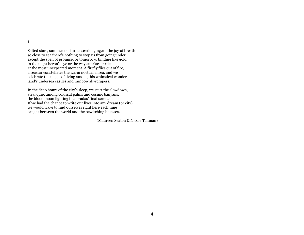I

Salted stars, summer nocturne, scarlet ginger—the joy of breath so close to sea there's nothing to stop us from going under except the spell of promise, or tomorrow, binding like gold in the night heron's eye or the way sunrise startles at the most unexpected moment. A firefly flies out of fire, a seastar constellates the warm nocturnal sea, and we celebrate the magic of living among this whimsical wonderland's undersea castles and rainbow skyscrapers.

In the deep hours of the city's sleep, we start the slowdown, steal quiet among colossal palms and cosmic banyans, the blood moon lighting the cicadas' final serenade. If we had the chance to write our lives into any dream (or city) we would wake to find ourselves right here each time caught between the world and the bewitching blue sea.

(Maureen Seaton & Nicole Tallman)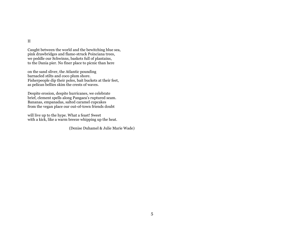II

Caught between the world and the bewitching blue sea, pink drawbridges and flame-struck Poinciana trees, we peddle our Schwinns, baskets full of plantains, to the Dania pier. No finer place to picnic than here

on the sand sliver, the Atlantic pounding barnacled stilts and coco plum shore. Fisherpeople dip their poles, bait buckets at their feet, as pelican bellies skim the crests of waves.

Despite erosion, despite hurricanes, we celebrate brief, clement spells along Pangaea's ruptured seam. Bananas, empanadas, salted caramel cupcakes from the vegan place our out-of-town friends doubt

will live up to the hype. What a feast! Sweet with a kick, like a warm breeze whipping up the heat.

(Denise Duhamel & Julie Marie Wade)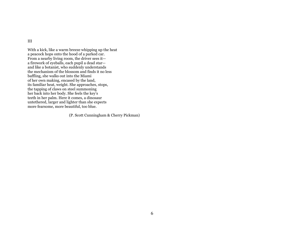III

With a kick, like a warm breeze whipping up the heat a peacock hops onto the hood of a parked car. From a nearby living room, the driver sees it a firework of eyeballs, each pupil a dead star and like a botanist, who suddenly understands the mechanism of the blossom and finds it no less baffling, she walks out into the Miami of her own making, encased by the land, its familiar heat, weight. She approaches, stops, the tapping of claws on steel summoning her back into her body. She feels the key's teeth in her palm. Here it comes, a dinosaur untethered, larger and lighter than she expects more fearsome, more beautiful, too blue.

(P. Scott Cunningham & Cherry Pickman)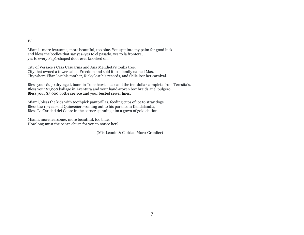#### IV

Miami—more fearsome, more beautiful, too blue. You spit into my palm for good luck and bless the bodies that say yes–yes to el pasado, yes to la frontera, yes to every Papá-shaped door ever knocked on.

City of Versace's Casa Casuarina and Ana Mendieta's Ceiba tree. City that owned a tower called Freedom and sold it to a family named Mas. City where Elian lost his mother, Ricky lost his records, and Celia lost her carnival.

Bless your \$250 dry-aged, bone-in Tomahawk steak and the ten-dollar completa from Teresita's. Bless your \$1,000 baliage in Aventura and your hand-woven box braids at el pulgero. Bless your \$3,000 bottle service and your busted sewer lines.

Miami, bless the kids with toothpick pantorillas, feeding cups of ice to stray dogs. Bless the 15-year-old Quinceñero coming out to his parents in Kendalandia, Bless La Caridad del Cobre in the corner spinning him a gown of gold chiffon.

Miami, more fearsome, more beautiful, too blue. How long must the ocean churn for you to notice her?

(Mia Leonin & Caridad Moro-Gronlier)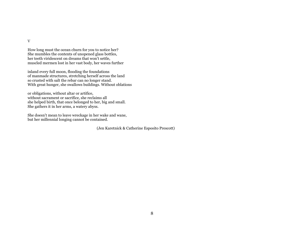V

How long must the ocean churn for you to notice her? She mumbles the contents of unopened glass bottles, her teeth viridescent on dreams that won't settle, muscled mermen lost in her vast body, her waves further

inland every full moon, flooding the foundations of manmade structures, stretching herself across the land so crusted with salt the rebar can no longer stand. With great hunger, she swallows buildings. Without oblations

or obligations, without altar or artifice, without sacrament or sacrifice, she reclaims all she helped birth, that once belonged to her, big and small. She gathers it in her arms, a watery abyss.

She doesn't mean to leave wreckage in her wake and wane, but her millennial longing cannot be contained.

(Jen Karetnick & Catherine Esposito Prescott)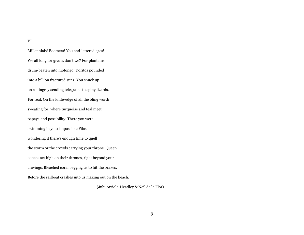VI

Millennials! Boomers! You end-lettered ages! We all long for green, don't we? For plantains drum-beaten into mofongo. Doritos pounded into a billion fractured sunz. You snuck up on a stingray sending telegrams to spiny lizards. For real. On the knife-edge of all the bling worth sweating for, where turquoise and teal meet papaya and possibility. There you were swimming in your impossible Filas wondering if there's enough time to quell the storm or the crowds carrying your throne. Queen conchs set high on their thrones, right beyond your cravings. Bleached coral begging us to hit the brakes. Before the sailboat crashes into us making out on the beach.

(Jubi Arriola-Headley & Neil de la Flor)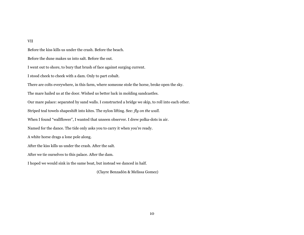VII

Before the kiss kills us under the crash. Before the beach. Before the dune makes us into salt. Before the out. I went out to shore, to bury that brush of face against surging current. I stood cheek to cheek with a dam. Only to part cobalt. There are colts everywhere, in this farm, where someone stole the horse, broke open the sky. The mare hailed us at the door. Wished us better luck in molding sandcastles. Our mare palace: separated by sand walls. I constructed a bridge we skip, to roll into each other. Striped teal towels shapeshift into kites. The nylon lifting. See*: fly on the wall.* When I found "wallflower", I wanted that unseen observer. I drew polka-dots in air. Named for the dance. The tide only asks you to carry it when you're ready. A white horse drags a lone pole along. After the kiss kills us under the crash. After the salt. After we tie ourselves to this palace. After the dam. I hoped we would sink in the same boat, but instead we danced in half.

(Clayre Benzadón & Melissa Gomez)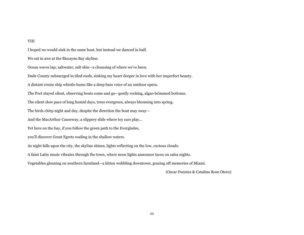#### VIII

I hoped we would sink in the same boat, but instead we danced in half. We sat in awe at the Biscayne Bay skyline. Ocean waves lap; saltwater, salt skin—a cleansing of where we've been. Dade County submerged in tiled roofs, sinking my heart deeper in love with her imperfect beauty. A distant cruise ship whistle hums like a deep bass voice of an outdoor opera. The Port stayed silent, observing boats come and go—gently rocking, algae-brimmed bottoms. The silent slow pace of long humid days, trees evergreen, always blooming into spring. The birds chirp night and day, despite the direction the boat may sway— And the MacArthur Causeway, a slippery slide where toy cars play... Yet here on the bay, if you follow the green path to the Everglades, you'll discover Great Egrets wading in the shallow waters. As night falls upon the city, the skyline shines, lights reflecting on the low, curious clouds. A faint Latin music vibrates through the town, where neon lights announce tacos on salsa nights. Vegetables gleaning on southern farmland—a kitten wobbling downtown, grazing off memories of Miami. (Oscar Fuentes & Catalina Rose Otero)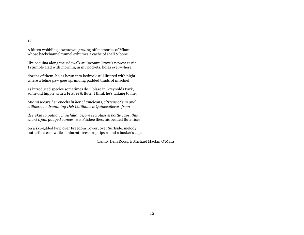IX

A kitten wobbling downtown, grazing off memories of Miami whose backchannel tunnel exhumes a cache of shell & bone

like coquina along the sidewalk at Coconut Grove's newest castle. I stumble glad with morning in my pockets, holes everywhere,

dozens of them, holes hewn into bedrock still littered with night, where a feline paw goes sprinkling padded thuds of mischief

as introduced species sometimes do. I blaze in Greynolds Park, some old hippie with a Frisbee & flute, I think he's talking to me,

*Miami wears her epochs in her chameleons, citizens of sun and stillness, in drumming Deb Cotillions & Quinceañeras, from* 

*deerskin to python chinchilla, before sea glass & bottle caps, this shark's jaw gouged canoes.* His Frisbee flies, his beaded flute rises

on a sky-gilded lyric over Freedom Tower, over Surfside, melody butterflies east while sunburnt trees drop tips round a busker's cap.

(Lenny DellaRocca & Michael Mackin O'Mara)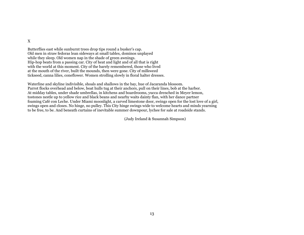#### X

Butterflies east while sunburnt trees drop tips round a busker's cap. Old men in straw fedoras lean sideways at small tables, dominos unplayed while they sleep. Old women nap in the shade of green awnings. Hip-hop beats from a passing car. City of heat and light and of all that is right with the world at this moment. City of the barely remembered, those who lived at the mouth of the river, built the mounds, then were gone. City of milkweed tickseed, canna lilies, coneflower. Women strolling slowly in floral halter dresses.

Waterline and skyline indivisible, shoals and shallows in the bay, hue of Jacaranda blossom. Parrot flocks overhead and below, boat hulls tug at their anchors, pull on their lines, bob at the harbor. At midday tables, under shade umbrellas, in kitchens and boardrooms, yucca drenched in Meyer lemon, tostones nestle up to yellow rice and black beans and nearby waits dainty flan, with her dance partner foaming Café con Leche. Under Miami moonlight, a carved limestone door, swings open for the lost love of a girl, swings open and closes. No hinge, no pulley. This City hinge swings wide to welcome hearts and minds yearning to be free, to be. And beneath curtains of inevitable summer downpour, lychee for sale at roadside stands.

(Judy Ireland & Susannah Simpson)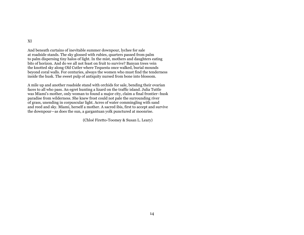XI

And beneath curtains of inevitable summer downpour, lychee for sale at roadside stands. The sky glossed with rubies, quarters passed from palm to palm dispersing tiny halos of light. In the mist, mothers and daughters eating bits of horizon. And do we all not feast on fruit to survive? Banyan trees vein the knotted sky along Old Cutler where Tequesta once walked, burial mounds beyond coral walls. For centuries, always the women who must find the tenderness inside the husk. The sweet pulp of antiquity nursed from bone into blossom.

A mile up and another roadside stand with orchids for sale, bending their ovarian faces to all who pass. An egret hunting a lizard on the traffic island. Julia Tuttle was Miami's mother, only woman to found a major city, claim a final frontier–husk paradise from wilderness. She knew frost could not pale the surrounding river of grass, unending in corpuscular light. Acres of water commingling with sand and reed and sky. Miami, herself a mother. A sacred ibis, first to accept and survive the downpour—as does the sun, a gargantuan yolk punctured at moonrise.

(Chloé Firetto-Toomey & Susan L. Leary)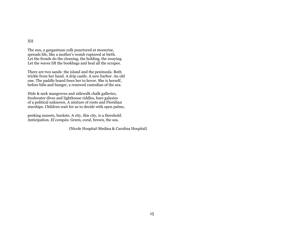XII

The sun, a gargantuan yolk punctured at moonrise, spreads life, like a mother's womb ruptured at birth. Let the fronds do the cleaning, the holding, the swaying. Let the waves lift the bookbags and heal all the scrapes.

There are two sands: the island and the peninsula. Both trickle from her hand. A drip castle. A new harbor. An old one. The paddle board frees her to hover. She is herself, before bibs and hunger, a renewed custodian of the sea.

Hide & seek mangroves and sidewalk chalk galleries, freshwater dives and lighthouse riddles, bare galaxies of a political unknown. A mixture of roots and Floridian starships. Children wait for us to decide with open palms,

peeking sunsets, buckets. A city, this city, is a threshold. Anticipation. *El compás*. Green, coral, brown, the sea.

(Nicole Hospital-Medina & Carolina Hospital)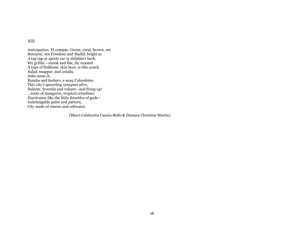XIII

Anticipation*.* El compás. Green, coral, brown, see Biscayne, see Freedom and Hadid, bright as A tap tap or sports car or dolphin's back. We grillin'—snook and flat, da' enamel A type of fishbone; skin here, is-like conch Salad, snapper, and oxtails. Juke-anoo-it, Rumba and kuduro, a wouj Columbine. This city's sprawling synapses alive, Salinity, feverish and valiant—and firing up! ...roots of mangrove, tropical crinolines. Hurricanes like the little thimbles of gods— Indefatigable pulse and pattern, City made of sinews and saltwater.

(Marci Calabretta Cancio-Bello & Damara Christine Martin)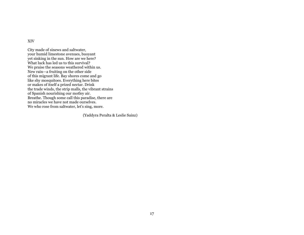XIV

City made of sinews and saltwater, your humid limestone avenues, buoyant yet sinking in the sun. How are we here? What luck has led us to this survival? We praise the seasons weathered within us. New rain—a fruiting on the other side of this migrant life. Bay shores come and go like shy mosquitoes. Everything here bites or makes of itself a prized nectar. Drink the trade winds, the strip malls, the vibrant strains of Spanish nourishing our motley air. Breathe. Though some call this paradise, there are no miracles we have not made ourselves. We who rose from saltwater, let's sing, more.

(Yaddyra Peralta & Leslie Sainz)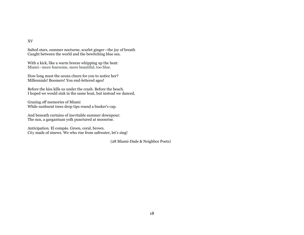XV

Salted stars, summer nocturne, scarlet ginger—the joy of breath Caught between the world and the bewitching blue sea.

With a kick, like a warm breeze whipping up the heat: Miami—more fearsome, more beautiful, too blue.

How long must the ocean churn for you to notice her? Millennials! Boomers! You end-lettered ages!

Before the kiss kills us under the crash. Before the beach. I hoped we would sink in the same boat, but instead we danced,

Grazing off memories of Miami While sunburnt trees drop tips round a busker's cap.

And beneath curtains of inevitable summer downpour: The sun, a gargantuan yolk punctured at moonrise.

Anticipation*.* El compás. Green, coral, brown. City made of sinews. We who rise from saltwater, let's sing!

(28 Miami-Dade & Neighbor Poets)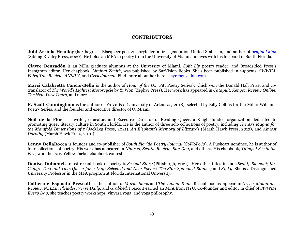## **CONTRIBUTORS**

**Jubi Arriola-Headley** (he/they) is a Blacqueer poet & storyteller, a first-generation United Statesian, and author of *[original kink](http://www.justjubi.com/book)* (Sibling Rivalry Press, 2020). He holds an MFA in poetry from the University of Miami and lives with his husband in South Florida.

**Clayre Benzadón** is an MFA graduate alumnus at the University of Miami, *Split Lip* poetry reader, and Broadsided Press's Instagram editor. Her chapbook, *Liminal Zenith*, was published by SurVision Books. She's been published in *14poems*, *SWWIM*, *Fairy Tale Review*, *ANMLY*, and *Grist Journal*. Find more about her here: [clayrebenzadon.com.](https://nam10.safelinks.protection.outlook.com/?url=http%3A%2F%2Fclayrebenzadon.com%2F&data=04%7C01%7Cbmc148%40miami.edu%7C290d4f545f234b00f2ba08d98508279a%7C2a144b72f23942d48c0e6f0f17c48e33%7C0%7C0%7C637687092342806988%7CUnknown%7CTWFpbGZsb3d8eyJWIjoiMC4wLjAwMDAiLCJQIjoiV2luMzIiLCJBTiI6Ik1haWwiLCJXVCI6Mn0%3D%7C1000&sdata=fx1CfwRv0lezsyntkzKcUyF19Dq09sAA2ahHjtM2BdA%3D&reserved=0)

**Marci Calabretta Cancio-Bello** is the author of *Hour of the Ox* (Pitt Poetry Series), which won the Donald Hall Prize, and cotranslator of *The World's Lightest Motorcycle* by Yi Won (Zephyr Press). Her work has appeared in *Catapult, Kenyon Review Online, The New York Times,* and more.

**P. Scott Cunningham** is the author of *Ya Te Veo* (University of Arkansas, 2018), selected by Billy Collins for the Miller Williams Poetry Series, and the founder and executive director of O, Miami.

**Neil de la Flor** is a writer, educator, and Executive Director of Reading Queer, a Knight-funded organization dedicated to promoting queer literary culture in South Florida. He is the author of three solo collections of poetry, including *The Ars Magna for the Manifold Dimensions of z* (JackLeg Press, 2021), *An Elephant's Memory of Blizzards* (Marsh Hawk Press, 2013), and *Almost Dorothy* (Marsh Hawk Press, 2010).

**Lenny DellaRocca** is founder and co-publisher of *South Florida Poetry Journal* (*SoFloPoJo*). A Pushcart nominee, he is author of four collections of poetry. His work has appeared in *Nimrod*, *Seattle Review*, *Sun Dog*, and others. His chapbook, *Things I See in the Fire*, won the 2017 Yellow Jacket chapbook contest.

**Denise Duhamel**'s most recent book of poetry is *Second Story* (Pittsburgh, 2021). Her other titles include *Scald; Blowout*; *Ka-Ching!*; *Two and Two*; *Queen for a Day: Selected and New Poems; The Star-Spangled Banner;* and *Kinky.* She is a Distinguished University Professor in the MFA program at Florida International University.

**Catherine Esposito Prescott** is the author of *Maria Sings* and *The Living Ruin*. Recent poems appear in *Green Mountains Review*, *NELLE, Pleiades*, *Verse Daily,* and *Grabbed.* Prescott earned an MFA from NYU. Co-founder and editor in chief of *SWWIM Every Day,* she teaches poetry workshops, vinyasa yoga, and yoga philosophy.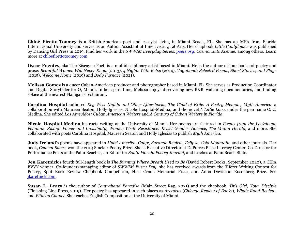**Chloé Firetto-Toomey** is a British-American poet and essayist living in Miami Beach, FL. She has an MFA from Florida International University and serves as an Author Assistant at InnerLasting Lit Arts. Her chapbook *Little Cauliflower* was published by Dancing Girl Press in 2019. Find her work in the *SWWIM Everyday Series, [poets.org,](http://poets.org/) Cosmonauts Avenue,* among others. Learn more at [chloefirettotoomey.com.](http://chloefirettotoomey.com/)

**Oscar Fuentes**, aka The Biscayne Poet, is a multidisciplinary artist based in Miami. He is the author of four books of poetry and prose: *Beautiful Women Will Never Know* (2013), *4 Nights With Betsy* (2014), *Vagabond: Selected Poems, Short Stories, and Plays* (2015), *Welcome Home* (2019) and *Body Furnace* (2021).

**Melissa Gomez** is a queer Cuban-American producer and photographer based in Miami, FL. She serves as Production Coordinator and Digital Storyteller for O, Miami. In her spare time, Melissa enjoys discovering new R&B, watching documentaries, and finding solace at the nearest Flanigan's restaurant.

**Carolina Hospital** authored Key West Nights and Other Aftershocks; The Child of Exile: A Poetry Memoir; Myth America, a collaboration with Maureen Seaton, Holly Iglesias, Nicole Hospital-Medina; and the novel *A Little Love*, under the pen name C. C. Medina. She edited *Los Atrevidos: Cuban American Writers* and *A Century of Cuban Writers in Florida*.

**Nicole Hospital-Medina** instructs writing at the University of Miami. Her poems are featured in *Poems from the Lockdown, Feminine Rising: Power and Invisibility, Women Write Resistance: Resist Gender Violence*, *The Miami Herald,* and more. She collaborated with poets Carolina Hospital, Maureen Seaton and Holly Iglesias to publish *Myth America*.

**Judy Ireland**'s poems have appeared in *Hotel Amerika*, *Calyx*, *Saranac Review*, *Eclipse*, *Cold Mountain*, and other journals. Her book, *Cement Shoes*, won the 2013 Sinclair Poetry Prize. She is Executive Director at DePorres Place Literacy Center, Co-Director for Performance Poets of the Palm Beaches, an Editor for *South Florida Poetry Journal*, and teaches at Palm Beach State.

**Jen Karetnick**'s fourth full-length book is *The Burning Where Breath Used to Be* (David Robert Books, September 2020), a CIPA EVVY winner. Co-founder/managing editor of *SWWIM Every Day*, she has received awards from the Tiferet Writing Contest for Poetry, Split Rock Review Chapbook Competition, Hart Crane Memorial Prize, and Anna Davidson Rosenberg Prize. See [jkaretnick.com.](http://jkaretnick.com/)

**Susan L. Leary** is the author of *Contraband Paradise* (Main Street Rag, 2021) and the chapbook, *This Girl, Your Disciple* (Finishing Line Press, 2019). Her poetry has appeared in such places as *Arcturus* (*Chicago Review of Books*), *Whale Road Review*, and *Pithead Chapel*. She teaches English Composition at the University of Miami.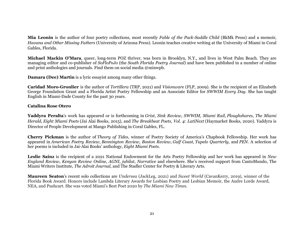**Mia Leonin** is the author of four poetry collections, most recently *Fable of the Pack-Saddle Child* (BkMk Press) and a memoir, *Havana and Other Missing Fathers* (University of Arizona Press). Leonin teaches creative writing at the University of Miami in Coral Gables, Florida.

**Michael Mackin O'Mara**, queer, long-term POZ thriver, was born in Brooklyn, N.Y., and lives in West Palm Beach. They are managing editor and co-publisher of *SoFloPoJo* (the *South Florida Poetry Journal*) and have been published in a number of online and print anthologies and journals. Find them on social media @minwpb.

**Damara (Dee) Martin** is a lyric essayist among many other things.

**Caridad Moro-Gronlier** is the author of *Tortillera* (TRP, 2021) and *Visionware* (FLP, 2009). She is the recipient of an Elizabeth George Foundation Grant and a Florida Artist Poetry Fellowship and an Associate Editor for *SWWIM Every Day*. She has taught English in Miami-Dade County for the past 30 years.

### **Catalina Rose Otero**

**Yaddyra Peralta**'s work has appeared or is forthcoming in *Grist, Sink Review, SWWIM, Miami Rail*, *Ploughshares*, *The Miami Herald*, *Eight Miami Poets* (Jai Alai Books, 2015), and *The Breakbeat Poets, Vol. 4: LatiNext* (Haymarket Books, 2020). Yaddyra is Director of People Development at Mango Publishing in Coral Gables, FL.

**Cherry Pickman** is the author of *Theory of Tides*, winner of Poetry Society of America's Chapbook Fellowship. Her work has appeared in *American Poetry Review*, *Bennington Review, Boston Review*, *Gulf Coast*, *Tupelo Quarterly*, and *PEN*. A selection of her poems is included in Jai-Alai Books' anthology, *Eight Miami Poets*.

**Leslie Sainz** is the recipient of a 2021 National Endowment for the Arts Poetry Fellowship and her work has appeared in *New England Review*, *Kenyon Review Online*, *AGNI, jubilat*, *Narrative* and elsewhere. She's received support from CantoMundo, The Miami Writers Institute, *The Adroit Journal*, and The Stadler Center for Poetry & Literary Arts.

**Maureen Seaton**'s recent solo collections are *Undersea* (JackLeg, 2021) and *Sweet World* (CavanKerry, 2019), winner of the Florida Book Award. Honors include Lambda Literary Awards for Lesbian Poetry and Lesbian Memoir, the Audre Lorde Award, NEA, and Pushcart. She was voted Miami's Best Poet 2020 by *The Miami New Times.*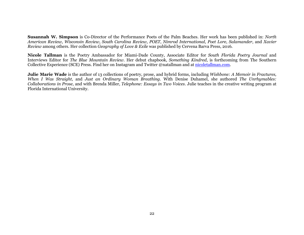**Susannah W. Simpson** is Co-Director of the Performance Poets of the Palm Beaches. Her work has been published in: *North American Review*, *Wisconsin Review*, *South Carolina Review*, *POET*, *Nimrod International*, *Poet Lore*, *Salamander*, and *Xavier Review* among others. Her collection *Geography of Love & Exile* was published by Cervena Barva Press, 2016.

**Nicole Tallman** is the Poetry Ambassador for Miami-Dade County, Associate Editor for *South Florida Poetry Journal* and Interviews Editor for *The Blue Mountain Review*. Her debut chapbook, *Something Kindred*, is forthcoming from The Southern Collective Experience (SCE) Press. Find her on Instagram and Twitter @natallman and at [nicoletallman.com.](http://www.nicoletallman.com/)

**Julie Marie Wade** is the author of 13 collections of poetry, prose, and hybrid forms, including *Wishbone: A Memoir in Fractures, When I Was Straight,* and *Just an Ordinary Woman Breathing.* With Denise Duhamel, she authored *The Unrhymables: Collaborations in Prose*, and with Brenda Miller, *Telephone: Essays in Two Voices.* Julie teaches in the creative writing program at Florida International University.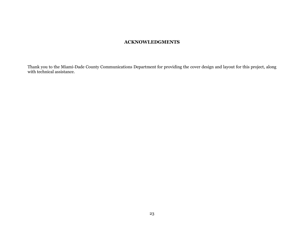## **ACKNOWLEDGMENTS**

Thank you to the Miami-Dade County Communications Department for providing the cover design and layout for this project, along with technical assistance.